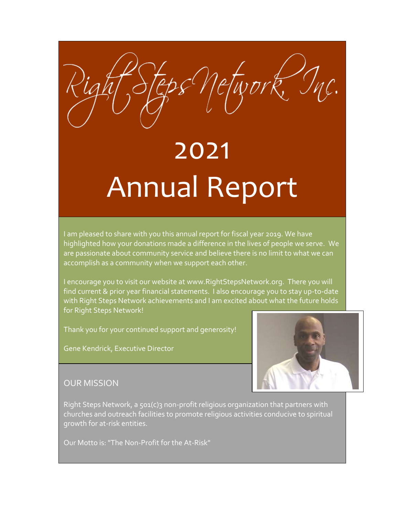# 2021 Annual Report

I am pleased to share with you this annual report for fiscal year 2019. We have highlighted how your donations made a difference in the lives of people we serve. We are passionate about community service and believe there is no limit to what we can accomplish as a community when we support each other.

I encourage you to visit our website at www.RightStepsNetwork.org. There you will find current & prior year financial statements. I also encourage you to stay up-to-date with Right Steps Network achievements and I am excited about what the future holds for Right Steps Network!

Thank you for your continued support and generosity!

Gene Kendrick, Executive Director



#### OUR MISSION

Right Steps Network, a 501(c)3 non-profit religious organization that partners with churches and outreach facilities to promote religious activities conducive to spiritual growth for at-risk entities.

Our Motto is: "The Non-Profit for the At-Risk"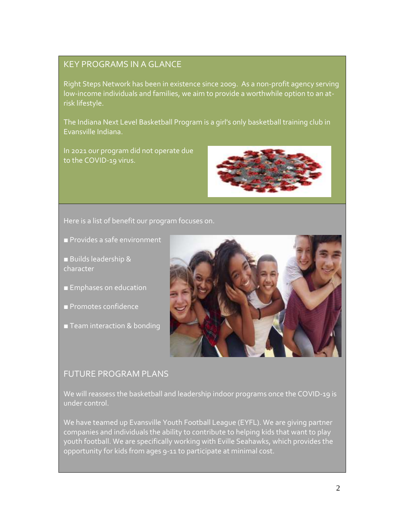#### KEY PROGRAMS IN A GLANCE

Right Steps Network has been in existence since 2009. As a non-profit agency serving low-income individuals and families, we aim to provide a worthwhile option to an atrisk lifestyle.

The Indiana Next Level Basketball Program is a girl's only basketball training club in Evansville Indiana.

In 2021 our program did not operate due to the COVID-19 virus.



Here is a list of benefit our program focuses on.

- Provides a safe environment
- Builds leadership & character
- Emphases on education
- Promotes confidence
- Team interaction & bonding



#### FUTURE PROGRAM PLANS

We will reassess the basketball and leadership indoor programs once the COVID-19 is under control.

We have teamed up Evansville Youth Football League (EYFL). We are giving partner companies and individuals the ability to contribute to helping kids that want to play youth football. We are specifically working with Eville Seahawks, which provides the opportunity for kids from ages 9-11 to participate at minimal cost.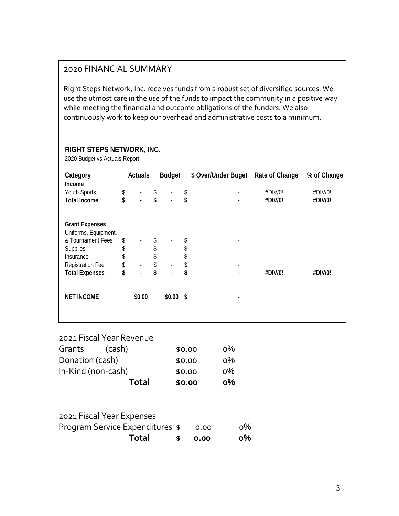#### 2020 FINANCIAL SUMMARY

Right Steps Network, Inc. receives funds from a robust set of diversified sources. We use the utmost care in the use of the funds to impact the community in a positive way while meeting the financial and outcome obligations of the funders. We also continuously work to keep our overhead and administrative costs to a minimum.

#### **RIGHT STEPS NETWORK, INC.**

2020 Budget vs Actuals Report

| Category                | <b>Actuals</b>       | <b>Budget</b>        | \$ Over/Under Buget  | <b>Rate of Change</b> | % of Change |
|-------------------------|----------------------|----------------------|----------------------|-----------------------|-------------|
| <b>Income</b>           |                      |                      |                      |                       |             |
| Youth Sports            | \$<br>٠              | \$                   | \$                   | #DIV/0!               | #DIV/0!     |
| <b>Total Income</b>     | \$<br>$\blacksquare$ | \$<br>$\blacksquare$ | \$<br>$\blacksquare$ | #DIV/0!               | #DIV/0!     |
|                         |                      |                      |                      |                       |             |
| <b>Grant Expenses</b>   |                      |                      |                      |                       |             |
| Uniforms, Equipment,    |                      |                      |                      |                       |             |
| & Tournament Fees       | \$                   | \$                   | \$                   |                       |             |
| Supplies                | \$<br>$\blacksquare$ | \$<br>$\blacksquare$ | \$                   |                       |             |
| Insurance               | \$<br>$\blacksquare$ | \$<br>$\blacksquare$ | \$<br>٠              |                       |             |
| <b>Registration Fee</b> | \$<br>$\blacksquare$ | \$<br>$\blacksquare$ | \$<br>٠              |                       |             |
| <b>Total Expenses</b>   | \$<br>$\blacksquare$ | \$                   | \$                   | #DIV/0!               | #DIV/0!     |
|                         |                      |                      |                      |                       |             |
| <b>NET INCOME</b>       | \$0.00               | \$0.00\$             |                      |                       |             |
|                         |                      |                      |                      |                       |             |
|                         |                      |                      |                      |                       |             |

## 2021 Fiscal Year Revenue

|                    | <b>Total</b> | \$0.00 | о% |
|--------------------|--------------|--------|----|
| In-Kind (non-cash) |              | \$0.00 | о% |
| Donation (cash)    |              | \$0.00 | о% |
| Grants             | (cash)       | \$0.00 | о% |

| 2021 Fiscal Year Expenses              |          |      |       |
|----------------------------------------|----------|------|-------|
| <b>Program Service Expenditures \$</b> |          | 0.00 | $0\%$ |
| Total                                  | <b>S</b> | 0.00 | о%    |